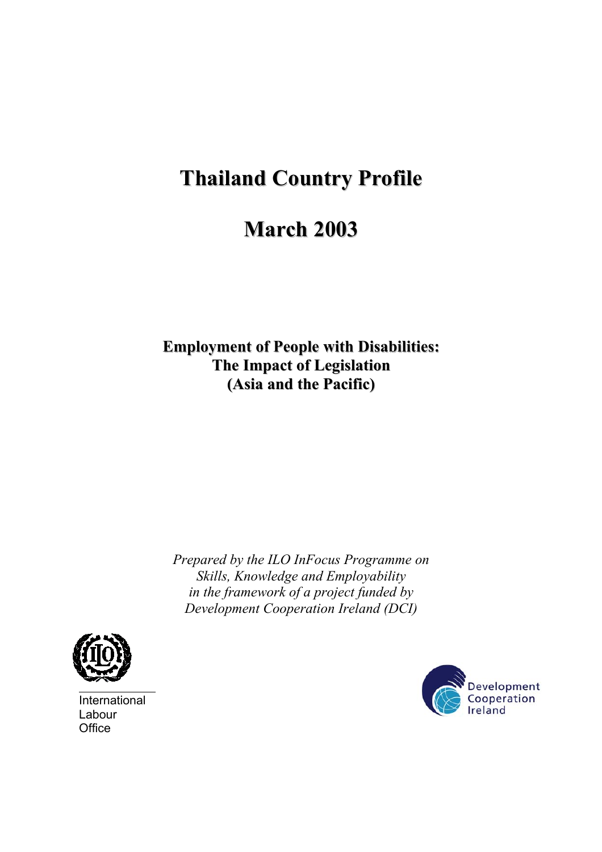# **Thailand Country Profile**

# **March 2003**

**Employment of People with Disabilities: The Impact of Legislation (Asia and the Pacific)**

*Prepared by the ILO InFocus Programme on Skills, Knowledge and Employability in the framework of a project funded by Development Cooperation Ireland (DCI)* 



International Labour **Office** 

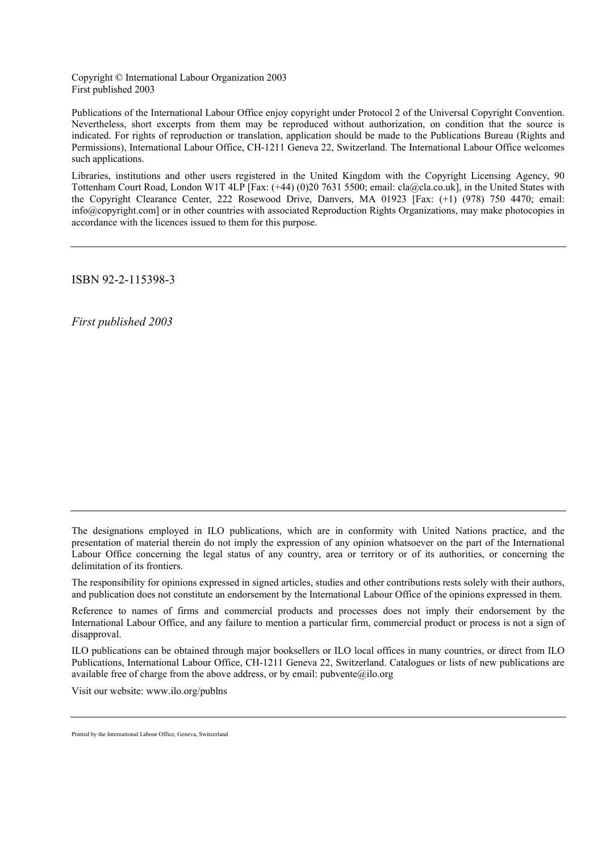Copyright © International Labour Organization 2003 First published 2003

Publications of the International Labour Office enjoy copyright under Protocol 2 of the Universal Copyright Convention. Nevertheless, short excerpts from them may be reproduced without authorization, on condition that the source is indicated. For rights of reproduction or translation, application should be made to the Publications Bureau (Rights and Permissions), International Labour Office, CH-1211 Geneva 22, Switzerland. The International Labour Office welcomes such applications.

Libraries, institutions and other users registered in the United Kingdom with the Copyright Licensing Agency, 90 Tottenham Court Road, London W1T 4LP [Fax: (+44) (0)20 7631 5500; email: cla@cla.co.uk], in the United States with the Copyright Clearance Center, 222 Rosewood Drive, Danvers, MA 01923 [Fax: (+1) (978) 750 4470; email: info@copyright.com] or in other countries with associated Reproduction Rights Organizations, may make photocopies in accordance with the licences issued to them for this purpose.

ISBN 92-2-115398-3

*First published 2003* 

The responsibility for opinions expressed in signed articles, studies and other contributions rests solely with their authors, and publication does not constitute an endorsement by the International Labour Office of the opinions expressed in them.

ILO publications can be obtained through major booksellers or ILO local offices in many countries, or direct from ILO Publications, International Labour Office, CH-1211 Geneva 22, Switzerland. Catalogues or lists of new publications are available free of charge from the above address, or by email:  $\text{pubvente}(a)$ ilo.org

Visit our website: www.ilo.org/publns

The designations employed in ILO publications, which are in conformity with United Nations practice, and the presentation of material therein do not imply the expression of any opinion whatsoever on the part of the International Labour Office concerning the legal status of any country, area or territory or of its authorities, or concerning the delimitation of its frontiers.

Reference to names of firms and commercial products and processes does not imply their endorsement by the International Labour Office, and any failure to mention a particular firm, commercial product or process is not a sign of disapproval.

Printed by the International Labour Office, Geneva, Switzerland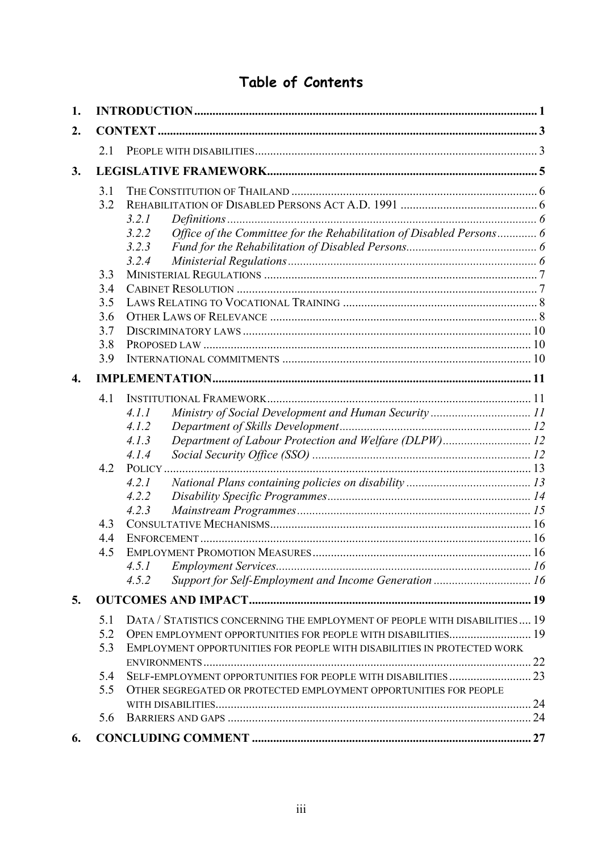## Table of Contents

| 1.               |     |                                                                               |  |
|------------------|-----|-------------------------------------------------------------------------------|--|
| 2.               |     |                                                                               |  |
|                  | 21  |                                                                               |  |
| 3.               |     |                                                                               |  |
|                  | 3.1 |                                                                               |  |
|                  | 3.2 |                                                                               |  |
|                  |     | 3.2.1                                                                         |  |
|                  |     | Office of the Committee for the Rehabilitation of Disabled Persons 6<br>3.2.2 |  |
|                  |     | 3.2.3                                                                         |  |
|                  |     | 3.2.4                                                                         |  |
|                  | 3.3 |                                                                               |  |
|                  | 3.4 |                                                                               |  |
|                  | 3.5 |                                                                               |  |
|                  | 3.6 |                                                                               |  |
|                  | 3.7 |                                                                               |  |
|                  | 3.8 |                                                                               |  |
|                  | 3.9 |                                                                               |  |
| $\overline{4}$ . |     |                                                                               |  |
|                  | 4.1 |                                                                               |  |
|                  |     | 4.1.1                                                                         |  |
|                  |     | 4.1.2                                                                         |  |
|                  |     | Department of Labour Protection and Welfare (DLPW) 12<br>4.1.3                |  |
|                  |     | 4.1.4                                                                         |  |
|                  | 4.2 |                                                                               |  |
|                  |     | 4.2.1                                                                         |  |
|                  |     | 4.2.2                                                                         |  |
|                  |     | 4.2.3                                                                         |  |
|                  | 4.3 |                                                                               |  |
|                  | 4.4 |                                                                               |  |
|                  | 4.5 |                                                                               |  |
|                  |     | 4.5.1                                                                         |  |
|                  |     | Support for Self-Employment and Income Generation  16<br>4.5.2                |  |
| 5.               |     |                                                                               |  |
|                  | 5.1 | DATA / STATISTICS CONCERNING THE EMPLOYMENT OF PEOPLE WITH DISABILITIES 19    |  |
|                  | 5.2 | OPEN EMPLOYMENT OPPORTUNITIES FOR PEOPLE WITH DISABILITIES 19                 |  |
|                  | 5.3 | EMPLOYMENT OPPORTUNITIES FOR PEOPLE WITH DISABILITIES IN PROTECTED WORK       |  |
|                  |     |                                                                               |  |
|                  | 5.4 |                                                                               |  |
|                  | 5.5 | OTHER SEGREGATED OR PROTECTED EMPLOYMENT OPPORTUNITIES FOR PEOPLE             |  |
|                  |     |                                                                               |  |
|                  | 5.6 |                                                                               |  |
| 6.               |     |                                                                               |  |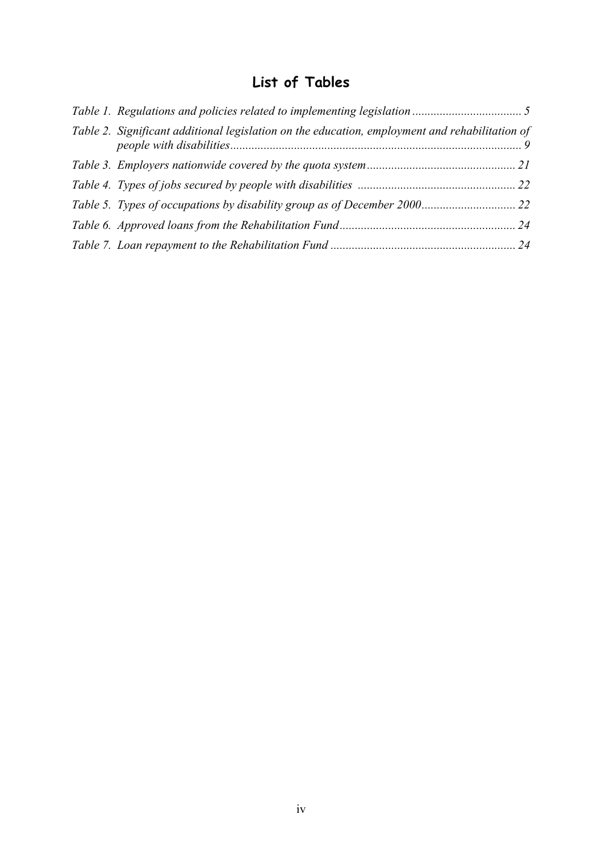## **List of Tables**

| Table 2. Significant additional legislation on the education, employment and rehabilitation of |  |
|------------------------------------------------------------------------------------------------|--|
|                                                                                                |  |
|                                                                                                |  |
|                                                                                                |  |
|                                                                                                |  |
|                                                                                                |  |
|                                                                                                |  |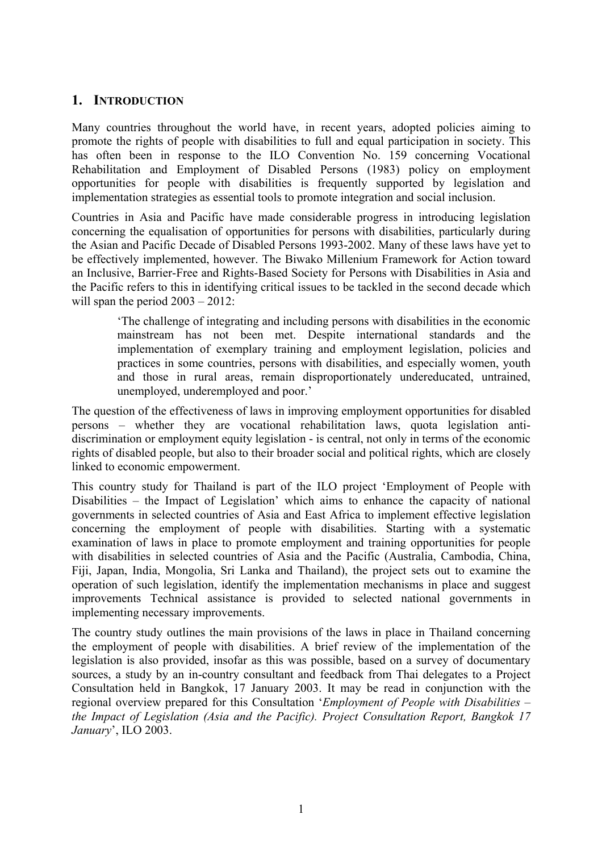#### <span id="page-4-0"></span>**1. INTRODUCTION**

Many countries throughout the world have, in recent years, adopted policies aiming to promote the rights of people with disabilities to full and equal participation in society. This has often been in response to the ILO Convention No. 159 concerning Vocational Rehabilitation and Employment of Disabled Persons (1983) policy on employment opportunities for people with disabilities is frequently supported by legislation and implementation strategies as essential tools to promote integration and social inclusion.

Countries in Asia and Pacific have made considerable progress in introducing legislation concerning the equalisation of opportunities for persons with disabilities, particularly during the Asian and Pacific Decade of Disabled Persons 1993-2002. Many of these laws have yet to be effectively implemented, however. The Biwako Millenium Framework for Action toward an Inclusive, Barrier-Free and Rights-Based Society for Persons with Disabilities in Asia and the Pacific refers to this in identifying critical issues to be tackled in the second decade which will span the period  $2003 - 2012$ :

'The challenge of integrating and including persons with disabilities in the economic mainstream has not been met. Despite international standards and the implementation of exemplary training and employment legislation, policies and practices in some countries, persons with disabilities, and especially women, youth and those in rural areas, remain disproportionately undereducated, untrained, unemployed, underemployed and poor.'

The question of the effectiveness of laws in improving employment opportunities for disabled persons – whether they are vocational rehabilitation laws, quota legislation antidiscrimination or employment equity legislation - is central, not only in terms of the economic rights of disabled people, but also to their broader social and political rights, which are closely linked to economic empowerment.

This country study for Thailand is part of the ILO project 'Employment of People with Disabilities – the Impact of Legislation' which aims to enhance the capacity of national governments in selected countries of Asia and East Africa to implement effective legislation concerning the employment of people with disabilities. Starting with a systematic examination of laws in place to promote employment and training opportunities for people with disabilities in selected countries of Asia and the Pacific (Australia, Cambodia, China, Fiji, Japan, India, Mongolia, Sri Lanka and Thailand), the project sets out to examine the operation of such legislation, identify the implementation mechanisms in place and suggest improvements Technical assistance is provided to selected national governments in implementing necessary improvements.

The country study outlines the main provisions of the laws in place in Thailand concerning the employment of people with disabilities. A brief review of the implementation of the legislation is also provided, insofar as this was possible, based on a survey of documentary sources, a study by an in-country consultant and feedback from Thai delegates to a Project Consultation held in Bangkok, 17 January 2003. It may be read in conjunction with the regional overview prepared for this Consultation '*Employment of People with Disabilities – the Impact of Legislation (Asia and the Pacific). Project Consultation Report, Bangkok 17 January*', ILO 2003.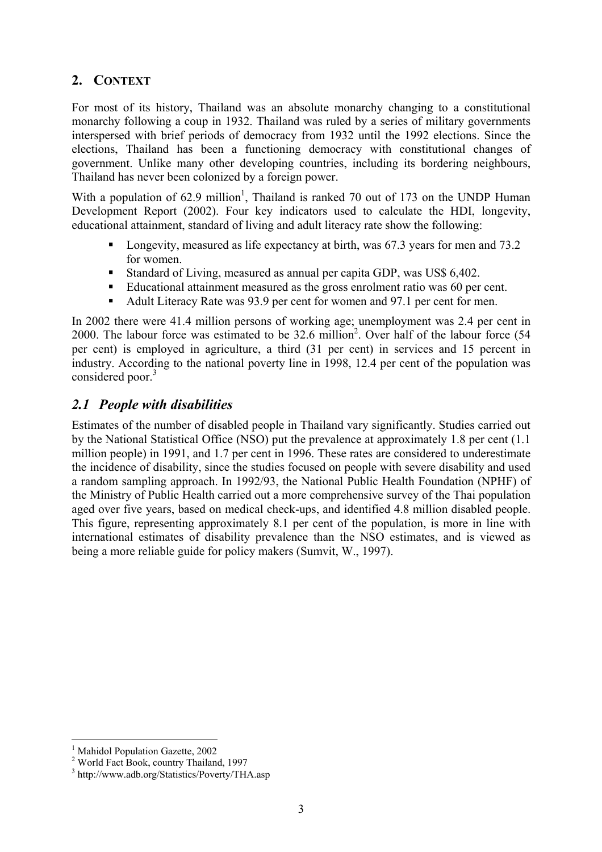### **2. CONTEXT**

For most of its history, Thailand was an absolute monarchy changing to a constitutional monarchy following a coup in 1932. Thailand was ruled by a series of military governments interspersed with brief periods of democracy from 1932 until the 1992 elections. Since the elections, Thailand has been a functioning democracy with constitutional changes of government. Unlike many other developing countries, including its bordering neighbours, Thailand has never been colonized by a foreign power.

With a population of  $62.9$  million<sup>1</sup>, Thailand is ranked 70 out of 173 on the UNDP Human Development Report (2002). Four key indicators used to calculate the HDI, longevity, educational attainment, standard of living and adult literacy rate show the following:

- Longevity, measured as life expectancy at birth, was 67.3 years for men and 73.2 for women.
- Standard of Living, measured as annual per capita GDP, was US\$ 6,402.
- Educational attainment measured as the gross enrolment ratio was 60 per cent.
- Adult Literacy Rate was 93.9 per cent for women and 97.1 per cent for men.

In 2002 there were 41.4 million persons of working age; unemployment was 2.4 per cent in 2000. The labour force was estimated to be  $32.6$  million<sup>2</sup>. Over half of the labour force  $(54)$ per cent) is employed in agriculture, a third (31 per cent) in services and 15 percent in industry. According to the national poverty line in 1998, 12.4 per cent of the population was considered poor.<sup>[3](#page-6-4)</sup>

### <span id="page-6-1"></span>*2.1 People with disabilities*

Estimates of the number of disabled people in Thailand vary significantly. Studies carried out by the National Statistical Office (NSO) put the prevalence at approximately 1.8 per cent (1.1 million people) in 1991, and 1.7 per cent in 1996. These rates are considered to underestimate the incidence of disability, since the studies focused on people with severe disability and used a random sampling approach. In 1992/93, the National Public Health Foundation (NPHF) of the Ministry of Public Health carried out a more comprehensive survey of the Thai population aged over five years, based on medical check-ups, and identified 4.8 million disabled people. This figure, representing approximately 8.1 per cent of the population, is more in line with international estimates of disability prevalence than the NSO estimates, and is viewed as being a more reliable guide for policy makers (Sumvit, W., 1997).

<span id="page-6-2"></span><span id="page-6-0"></span><sup>&</sup>lt;sup>1</sup> Mahidol Population Gazette, 2002

<span id="page-6-3"></span><sup>2</sup> World Fact Book, country Thailand, 1997

<span id="page-6-4"></span><sup>3</sup> http://www.adb.org/Statistics/Poverty/THA.asp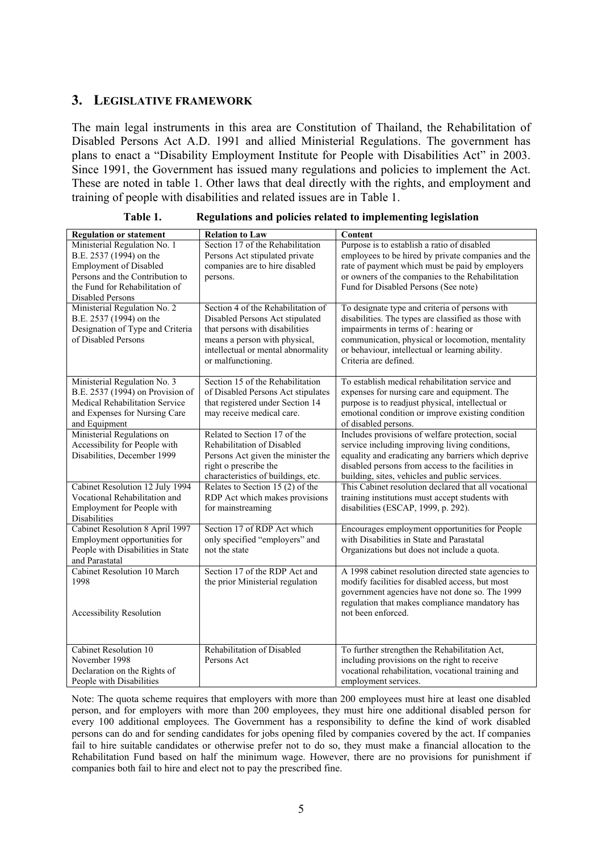#### <span id="page-8-0"></span>**3. LEGISLATIVE FRAMEWORK**

The main legal instruments in this area are Constitution of Thailand, the Rehabilitation of Disabled Persons Act A.D. 1991 and allied Ministerial Regulations. The government has plans to enact a "Disability Employment Institute for People with Disabilities Act" in 2003. Since 1991, the Government has issued many regulations and policies to implement the Act. These are noted in table 1. Other laws that deal directly with the rights, and employment and training of people with disabilities and related issues are in Table 1.

| <b>Regulation or statement</b>                                                                                                                                                           | <b>Relation to Law</b>                                                                                                                                                                               | Content                                                                                                                                                                                                                                                                        |
|------------------------------------------------------------------------------------------------------------------------------------------------------------------------------------------|------------------------------------------------------------------------------------------------------------------------------------------------------------------------------------------------------|--------------------------------------------------------------------------------------------------------------------------------------------------------------------------------------------------------------------------------------------------------------------------------|
| Ministerial Regulation No. 1<br>B.E. 2537 (1994) on the<br><b>Employment of Disabled</b><br>Persons and the Contribution to<br>the Fund for Rehabilitation of<br><b>Disabled Persons</b> | Section 17 of the Rehabilitation<br>Persons Act stipulated private<br>companies are to hire disabled<br>persons.                                                                                     | Purpose is to establish a ratio of disabled<br>employees to be hired by private companies and the<br>rate of payment which must be paid by employers<br>or owners of the companies to the Rehabilitation<br>Fund for Disabled Persons (See note)                               |
| Ministerial Regulation No. 2<br>B.E. 2537 (1994) on the<br>Designation of Type and Criteria<br>of Disabled Persons                                                                       | Section 4 of the Rehabilitation of<br>Disabled Persons Act stipulated<br>that persons with disabilities<br>means a person with physical,<br>intellectual or mental abnormality<br>or malfunctioning. | To designate type and criteria of persons with<br>disabilities. The types are classified as those with<br>impairments in terms of : hearing or<br>communication, physical or locomotion, mentality<br>or behaviour, intellectual or learning ability.<br>Criteria are defined. |
| Ministerial Regulation No. 3<br>B.E. 2537 (1994) on Provision of<br>Medical Rehabilitation Service<br>and Expenses for Nursing Care<br>and Equipment                                     | Section 15 of the Rehabilitation<br>of Disabled Persons Act stipulates<br>that registered under Section 14<br>may receive medical care.                                                              | To establish medical rehabilitation service and<br>expenses for nursing care and equipment. The<br>purpose is to readjust physical, intellectual or<br>emotional condition or improve existing condition<br>of disabled persons.                                               |
| Ministerial Regulations on<br>Accessibility for People with<br>Disabilities, December 1999                                                                                               | Related to Section 17 of the<br>Rehabilitation of Disabled<br>Persons Act given the minister the<br>right o prescribe the<br>characteristics of buildings, etc.                                      | Includes provisions of welfare protection, social<br>service including improving living conditions,<br>equality and eradicating any barriers which deprive<br>disabled persons from access to the facilities in<br>building, sites, vehicles and public services.              |
| Cabinet Resolution 12 July 1994<br>Vocational Rehabilitation and<br>Employment for People with<br>Disabilities                                                                           | Relates to Section 15 (2) of the<br>RDP Act which makes provisions<br>for mainstreaming                                                                                                              | This Cabinet resolution declared that all vocational<br>training institutions must accept students with<br>disabilities (ESCAP, 1999, p. 292).                                                                                                                                 |
| Cabinet Resolution 8 April 1997<br>Employment opportunities for<br>People with Disabilities in State<br>and Parastatal                                                                   | Section 17 of RDP Act which<br>only specified "employers" and<br>not the state                                                                                                                       | Encourages employment opportunities for People<br>with Disabilities in State and Parastatal<br>Organizations but does not include a quota.                                                                                                                                     |
| Cabinet Resolution 10 March<br>1998<br><b>Accessibility Resolution</b>                                                                                                                   | Section 17 of the RDP Act and<br>the prior Ministerial regulation                                                                                                                                    | A 1998 cabinet resolution directed state agencies to<br>modify facilities for disabled access, but most<br>government agencies have not done so. The 1999<br>regulation that makes compliance mandatory has<br>not been enforced.                                              |
| Cabinet Resolution 10<br>November 1998<br>Declaration on the Rights of<br>People with Disabilities                                                                                       | Rehabilitation of Disabled<br>Persons Act                                                                                                                                                            | To further strengthen the Rehabilitation Act,<br>including provisions on the right to receive<br>vocational rehabilitation, vocational training and<br>employment services.                                                                                                    |

<span id="page-8-1"></span>

| Table 1. |  | Regulations and policies related to implementing legislation |
|----------|--|--------------------------------------------------------------|
|          |  |                                                              |

Note: The quota scheme requires that employers with more than 200 employees must hire at least one disabled person, and for employers with more than 200 employees, they must hire one additional disabled person for every 100 additional employees. The Government has a responsibility to define the kind of work disabled persons can do and for sending candidates for jobs opening filed by companies covered by the act. If companies fail to hire suitable candidates or otherwise prefer not to do so, they must make a financial allocation to the Rehabilitation Fund based on half the minimum wage. However, there are no provisions for punishment if companies both fail to hire and elect not to pay the prescribed fine.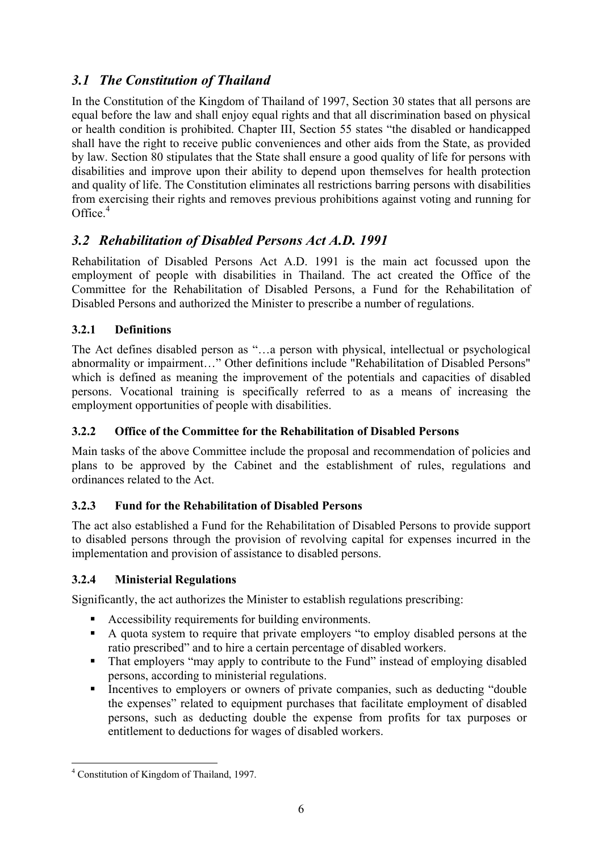### <span id="page-9-0"></span>*3.1 The Constitution of Thailand*

In the Constitution of the Kingdom of Thailand of 1997, Section 30 states that all persons are equal before the law and shall enjoy equal rights and that all discrimination based on physical or health condition is prohibited. Chapter III, Section 55 states "the disabled or handicapped shall have the right to receive public conveniences and other aids from the State, as provided by law. Section 80 stipulates that the State shall ensure a good quality of life for persons with disabilities and improve upon their ability to depend upon themselves for health protection and quality of life. The Constitution eliminates all restrictions barring persons with disabilities from exercising their rights and removes previous prohibitions against voting and running for Office.<sup>4</sup>

### <span id="page-9-1"></span>*3.2 Rehabilitation of Disabled Persons Act A.D. 1991*

Rehabilitation of Disabled Persons Act A.D. 1991 is the main act focussed upon the employment of people with disabilities in Thailand. The act created the Office of the Committee for the Rehabilitation of Disabled Persons, a Fund for the Rehabilitation of Disabled Persons and authorized the Minister to prescribe a number of regulations.

### <span id="page-9-2"></span>**3.2.1 Definitions**

The Act defines disabled person as "…a person with physical, intellectual or psychological abnormality or impairment…" Other definitions include "Rehabilitation of Disabled Persons" which is defined as meaning the improvement of the potentials and capacities of disabled persons. Vocational training is specifically referred to as a means of increasing the employment opportunities of people with disabilities.

### <span id="page-9-3"></span>**3.2.2 Office of the Committee for the Rehabilitation of Disabled Persons**

Main tasks of the above Committee include the proposal and recommendation of policies and plans to be approved by the Cabinet and the establishment of rules, regulations and ordinances related to the Act.

### <span id="page-9-4"></span>**3.2.3 Fund for the Rehabilitation of Disabled Persons**

The act also established a Fund for the Rehabilitation of Disabled Persons to provide support to disabled persons through the provision of revolving capital for expenses incurred in the implementation and provision of assistance to disabled persons.

### <span id="page-9-5"></span>**3.2.4 Ministerial Regulations**

Significantly, the act authorizes the Minister to establish regulations prescribing:

- Accessibility requirements for building environments.
- A quota system to require that private employers "to employ disabled persons at the ratio prescribed" and to hire a certain percentage of disabled workers.
- That employers "may apply to contribute to the Fund" instead of employing disabled persons, according to ministerial regulations.
- Incentives to employers or owners of private companies, such as deducting "double" the expenses" related to equipment purchases that facilitate employment of disabled persons, such as deducting double the expense from profits for tax purposes or entitlement to deductions for wages of disabled workers.

<span id="page-9-6"></span> $\overline{a}$ 4 Constitution of Kingdom of Thailand, 1997.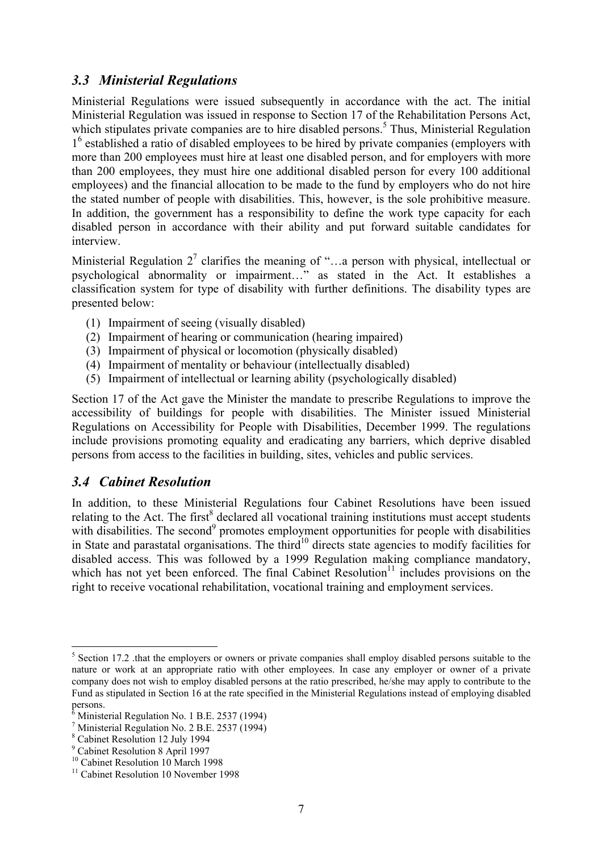### <span id="page-10-0"></span>*3.3 Ministerial Regulations*

Ministerial Regulations were issued subsequently in accordance with the act. The initial Ministerial Regulation was issued in response to Section 17 of the Rehabilitation Persons Act, which stipulates private companies are to hire disabled persons.<sup>5</sup> Thus, Ministerial Regulation 1<sup>[6](#page-10-3)</sup> established a ratio of disabled employees to be hired by private companies (employers with more than 200 employees must hire at least one disabled person, and for employers with more than 200 employees, they must hire one additional disabled person for every 100 additional employees) and the financial allocation to be made to the fund by employers who do not hire the stated number of people with disabilities. This, however, is the sole prohibitive measure. In addition, the government has a responsibility to define the work type capacity for each disabled person in accordance with their ability and put forward suitable candidates for interview.

Ministerial Regulation  $2^7$  $2^7$  clarifies the meaning of "...a person with physical, intellectual or psychological abnormality or impairment…" as stated in the Act. It establishes a classification system for type of disability with further definitions. The disability types are presented below:

- (1) Impairment of seeing (visually disabled)
- (2) Impairment of hearing or communication (hearing impaired)
- (3) Impairment of physical or locomotion (physically disabled)
- (4) Impairment of mentality or behaviour (intellectually disabled)
- (5) Impairment of intellectual or learning ability (psychologically disabled)

Section 17 of the Act gave the Minister the mandate to prescribe Regulations to improve the accessibility of buildings for people with disabilities. The Minister issued Ministerial Regulations on Accessibility for People with Disabilities, December 1999. The regulations include provisions promoting equality and eradicating any barriers, which deprive disabled persons from access to the facilities in building, sites, vehicles and public services.

#### <span id="page-10-1"></span>*3.4 Cabinet Resolution*

In addition, to these Ministerial Regulations four Cabinet Resolutions have been issued relating to the Act. The first<sup>8</sup> declared all vocational training institutions must accept students with disabilities. The second<sup>9</sup> promotes employment opportunities for people with disabilities in State and parastatal organisations. The third<sup>10</sup> directs state agencies to modify facilities for disabled access. This was followed by a 1999 Regulation making compliance mandatory, which has not yet been enforced. The final Cabinet Resolution<sup> $11$ </sup> includes provisions on the right to receive vocational rehabilitation, vocational training and employment services.

<span id="page-10-2"></span> $5$  Section 17.2 .that the employers or owners or private companies shall employ disabled persons suitable to the nature or work at an appropriate ratio with other employees. In case any employer or owner of a private company does not wish to employ disabled persons at the ratio prescribed, he/she may apply to contribute to the Fund as stipulated in Section 16 at the rate specified in the Ministerial Regulations instead of employing disabled persons.

<span id="page-10-3"></span><sup>6</sup> Ministerial Regulation No. 1 B.E. 2537 (1994)

<span id="page-10-4"></span><sup>7</sup> Ministerial Regulation No. 2 B.E. 2537 (1994)

<span id="page-10-5"></span><sup>8</sup> Cabinet Resolution 12 July 1994

<span id="page-10-6"></span><sup>9</sup> Cabinet Resolution 8 April 1997

<span id="page-10-7"></span><sup>&</sup>lt;sup>10</sup> Cabinet Resolution 10 March 1998

<span id="page-10-8"></span><sup>&</sup>lt;sup>11</sup> Cabinet Resolution 10 November 1998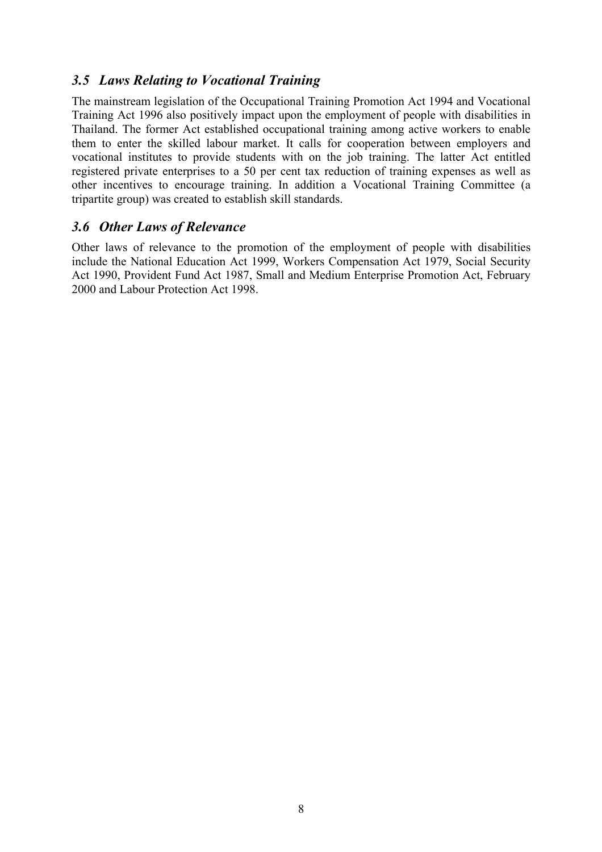### <span id="page-11-0"></span>*3.5 Laws Relating to Vocational Training*

The mainstream legislation of the Occupational Training Promotion Act 1994 and Vocational Training Act 1996 also positively impact upon the employment of people with disabilities in Thailand. The former Act established occupational training among active workers to enable them to enter the skilled labour market. It calls for cooperation between employers and vocational institutes to provide students with on the job training. The latter Act entitled registered private enterprises to a 50 per cent tax reduction of training expenses as well as other incentives to encourage training. In addition a Vocational Training Committee (a tripartite group) was created to establish skill standards.

### <span id="page-11-1"></span>*3.6 Other Laws of Relevance*

Other laws of relevance to the promotion of the employment of people with disabilities include the National Education Act 1999, Workers Compensation Act 1979, Social Security Act 1990, Provident Fund Act 1987, Small and Medium Enterprise Promotion Act, February 2000 and Labour Protection Act 1998.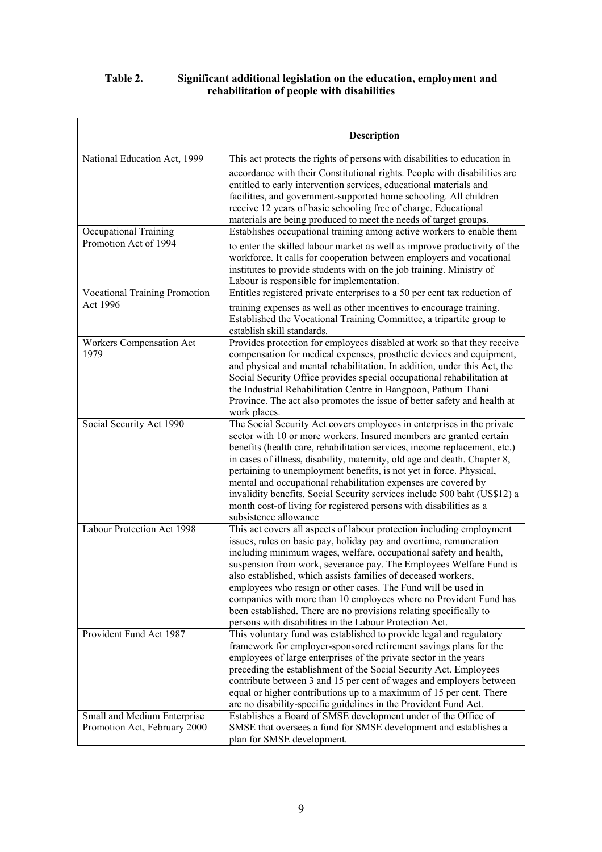#### <span id="page-12-0"></span>**Table 2. Significant additional legislation on the education, employment and rehabilitation of people with disabilities**

|                                                                                | <b>Description</b>                                                                                                                                                                                                                                                                                                                                                                                                                                                                                                                                                                                                                                                     |
|--------------------------------------------------------------------------------|------------------------------------------------------------------------------------------------------------------------------------------------------------------------------------------------------------------------------------------------------------------------------------------------------------------------------------------------------------------------------------------------------------------------------------------------------------------------------------------------------------------------------------------------------------------------------------------------------------------------------------------------------------------------|
| National Education Act, 1999<br>Occupational Training<br>Promotion Act of 1994 | This act protects the rights of persons with disabilities to education in<br>accordance with their Constitutional rights. People with disabilities are<br>entitled to early intervention services, educational materials and<br>facilities, and government-supported home schooling. All children<br>receive 12 years of basic schooling free of charge. Educational<br>materials are being produced to meet the needs of target groups.<br>Establishes occupational training among active workers to enable them<br>to enter the skilled labour market as well as improve productivity of the<br>workforce. It calls for cooperation between employers and vocational |
| <b>Vocational Training Promotion</b>                                           | institutes to provide students with on the job training. Ministry of<br>Labour is responsible for implementation.<br>Entitles registered private enterprises to a 50 per cent tax reduction of                                                                                                                                                                                                                                                                                                                                                                                                                                                                         |
| Act 1996                                                                       | training expenses as well as other incentives to encourage training.<br>Established the Vocational Training Committee, a tripartite group to<br>establish skill standards.                                                                                                                                                                                                                                                                                                                                                                                                                                                                                             |
| Workers Compensation Act<br>1979                                               | Provides protection for employees disabled at work so that they receive<br>compensation for medical expenses, prosthetic devices and equipment,<br>and physical and mental rehabilitation. In addition, under this Act, the<br>Social Security Office provides special occupational rehabilitation at<br>the Industrial Rehabilitation Centre in Bangpoon, Pathum Thani<br>Province. The act also promotes the issue of better safety and health at<br>work places.                                                                                                                                                                                                    |
| Social Security Act 1990                                                       | The Social Security Act covers employees in enterprises in the private<br>sector with 10 or more workers. Insured members are granted certain<br>benefits (health care, rehabilitation services, income replacement, etc.)<br>in cases of illness, disability, maternity, old age and death. Chapter 8,<br>pertaining to unemployment benefits, is not yet in force. Physical,<br>mental and occupational rehabilitation expenses are covered by<br>invalidity benefits. Social Security services include 500 baht (US\$12) a<br>month cost-of living for registered persons with disabilities as a<br>subsistence allowance                                           |
| Labour Protection Act 1998                                                     | This act covers all aspects of labour protection including employment<br>issues, rules on basic pay, holiday pay and overtime, remuneration<br>including minimum wages, welfare, occupational safety and health,<br>suspension from work, severance pay. The Employees Welfare Fund is<br>also established, which assists families of deceased workers,<br>employees who resign or other cases. The Fund will be used in<br>companies with more than 10 employees where no Provident Fund has<br>been established. There are no provisions relating specifically to<br>persons with disabilities in the Labour Protection Act.                                         |
| Provident Fund Act 1987                                                        | This voluntary fund was established to provide legal and regulatory<br>framework for employer-sponsored retirement savings plans for the<br>employees of large enterprises of the private sector in the years<br>preceding the establishment of the Social Security Act. Employees<br>contribute between 3 and 15 per cent of wages and employers between<br>equal or higher contributions up to a maximum of 15 per cent. There<br>are no disability-specific guidelines in the Provident Fund Act.                                                                                                                                                                   |
| Small and Medium Enterprise<br>Promotion Act, February 2000                    | Establishes a Board of SMSE development under of the Office of<br>SMSE that oversees a fund for SMSE development and establishes a<br>plan for SMSE development.                                                                                                                                                                                                                                                                                                                                                                                                                                                                                                       |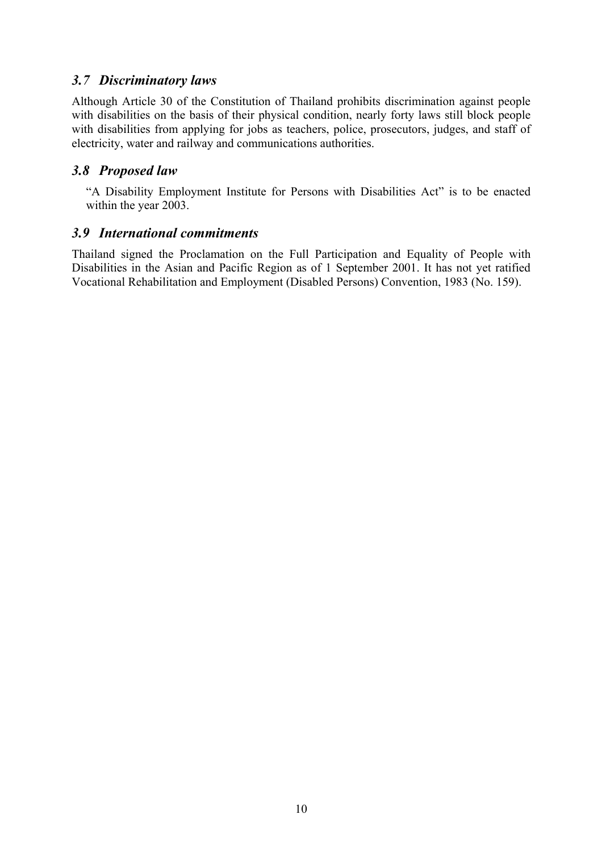### <span id="page-13-0"></span>*3.7 Discriminatory laws*

Although Article 30 of the Constitution of Thailand prohibits discrimination against people with disabilities on the basis of their physical condition, nearly forty laws still block people with disabilities from applying for jobs as teachers, police, prosecutors, judges, and staff of electricity, water and railway and communications authorities.

### <span id="page-13-1"></span>*3.8 Proposed law*

"A Disability Employment Institute for Persons with Disabilities Act" is to be enacted within the year 2003.

### <span id="page-13-2"></span>*3.9 International commitments*

Thailand signed the Proclamation on the Full Participation and Equality of People with Disabilities in the Asian and Pacific Region as of 1 September 2001. It has not yet ratified Vocational Rehabilitation and Employment (Disabled Persons) Convention, 1983 (No. 159).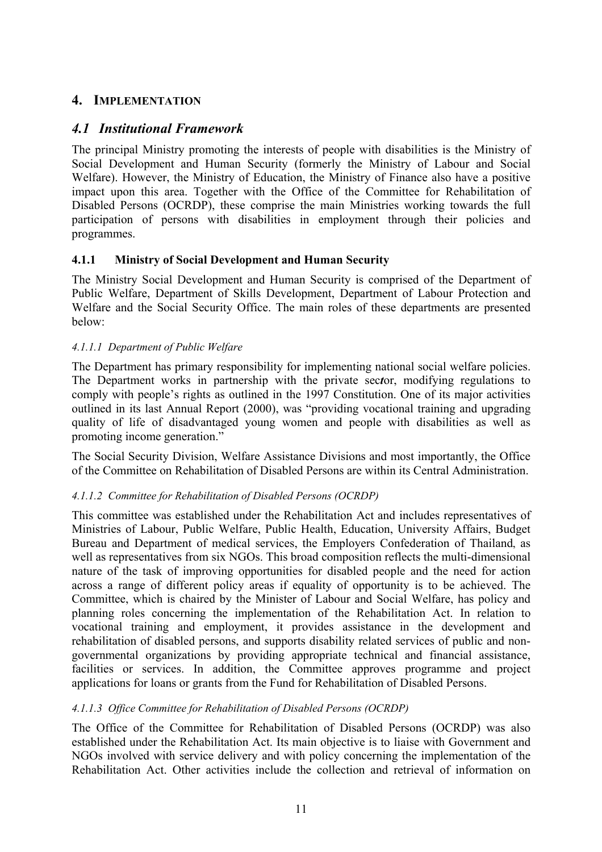### <span id="page-14-0"></span>**4. IMPLEMENTATION**

### *4.1 Institutional Framework*

<span id="page-14-1"></span>The principal Ministry promoting the interests of people with disabilities is the Ministry of Social Development and Human Security (formerly the Ministry of Labour and Social Welfare). However, the Ministry of Education, the Ministry of Finance also have a positive impact upon this area. Together with the Office of the Committee for Rehabilitation of Disabled Persons (OCRDP), these comprise the main Ministries working towards the full participation of persons with disabilities in employment through their policies and programmes.

#### <span id="page-14-2"></span>**4.1.1 Ministry of Social Development and Human Security**

The Ministry Social Development and Human Security is comprised of the Department of Public Welfare, Department of Skills Development, Department of Labour Protection and Welfare and the Social Security Office. The main roles of these departments are presented below:

#### *4.1.1.1 Department of Public Welfare*

The Department has primary responsibility for implementing national social welfare policies. The Department works in partnership with the private sec*t*or, modifying regulations to comply with people's rights as outlined in the 1997 Constitution. One of its major activities outlined in its last Annual Report (2000), was "providing vocational training and upgrading quality of life of disadvantaged young women and people with disabilities as well as promoting income generation."

The Social Security Division, Welfare Assistance Divisions and most importantly, the Office of the Committee on Rehabilitation of Disabled Persons are within its Central Administration.

#### *4.1.1.2 Committee for Rehabilitation of Disabled Persons (OCRDP)*

This committee was established under the Rehabilitation Act and includes representatives of Ministries of Labour, Public Welfare, Public Health, Education, University Affairs, Budget Bureau and Department of medical services, the Employers Confederation of Thailand, as well as representatives from six NGOs. This broad composition reflects the multi-dimensional nature of the task of improving opportunities for disabled people and the need for action across a range of different policy areas if equality of opportunity is to be achieved. The Committee, which is chaired by the Minister of Labour and Social Welfare, has policy and planning roles concerning the implementation of the Rehabilitation Act. In relation to vocational training and employment, it provides assistance in the development and rehabilitation of disabled persons, and supports disability related services of public and nongovernmental organizations by providing appropriate technical and financial assistance, facilities or services. In addition, the Committee approves programme and project applications for loans or grants from the Fund for Rehabilitation of Disabled Persons.

#### *4.1.1.3 Office Committee for Rehabilitation of Disabled Persons (OCRDP)*

The Office of the Committee for Rehabilitation of Disabled Persons (OCRDP) was also established under the Rehabilitation Act. Its main objective is to liaise with Government and NGOs involved with service delivery and with policy concerning the implementation of the Rehabilitation Act. Other activities include the collection and retrieval of information on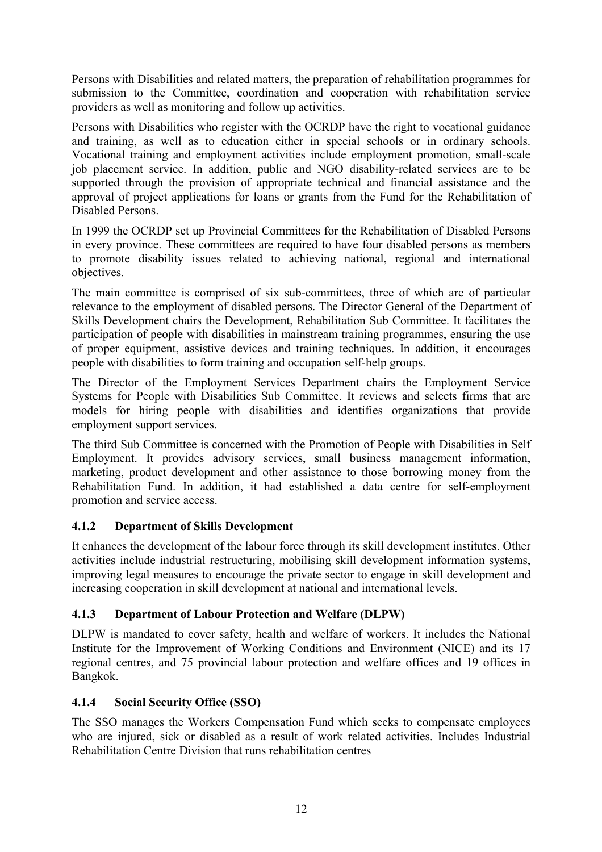Persons with Disabilities and related matters, the preparation of rehabilitation programmes for submission to the Committee, coordination and cooperation with rehabilitation service providers as well as monitoring and follow up activities.

Persons with Disabilities who register with the OCRDP have the right to vocational guidance and training, as well as to education either in special schools or in ordinary schools. Vocational training and employment activities include employment promotion, small-scale job placement service. In addition, public and NGO disability-related services are to be supported through the provision of appropriate technical and financial assistance and the approval of project applications for loans or grants from the Fund for the Rehabilitation of Disabled Persons.

In 1999 the OCRDP set up Provincial Committees for the Rehabilitation of Disabled Persons in every province. These committees are required to have four disabled persons as members to promote disability issues related to achieving national, regional and international objectives.

The main committee is comprised of six sub-committees, three of which are of particular relevance to the employment of disabled persons. The Director General of the Department of Skills Development chairs the Development, Rehabilitation Sub Committee. It facilitates the participation of people with disabilities in mainstream training programmes, ensuring the use of proper equipment, assistive devices and training techniques. In addition, it encourages people with disabilities to form training and occupation self-help groups.

The Director of the Employment Services Department chairs the Employment Service Systems for People with Disabilities Sub Committee. It reviews and selects firms that are models for hiring people with disabilities and identifies organizations that provide employment support services.

The third Sub Committee is concerned with the Promotion of People with Disabilities in Self Employment. It provides advisory services, small business management information, marketing, product development and other assistance to those borrowing money from the Rehabilitation Fund. In addition, it had established a data centre for self-employment promotion and service access.

### <span id="page-15-0"></span>**4.1.2 Department of Skills Development**

It enhances the development of the labour force through its skill development institutes. Other activities include industrial restructuring, mobilising skill development information systems, improving legal measures to encourage the private sector to engage in skill development and increasing cooperation in skill development at national and international levels.

### <span id="page-15-1"></span>**4.1.3 Department of Labour Protection and Welfare (DLPW)**

DLPW is mandated to cover safety, health and welfare of workers. It includes the National Institute for the Improvement of Working Conditions and Environment (NICE) and its 17 regional centres, and 75 provincial labour protection and welfare offices and 19 offices in Bangkok.

### <span id="page-15-2"></span>**4.1.4 Social Security Office (SSO)**

The SSO manages the Workers Compensation Fund which seeks to compensate employees who are injured, sick or disabled as a result of work related activities. Includes Industrial Rehabilitation Centre Division that runs rehabilitation centres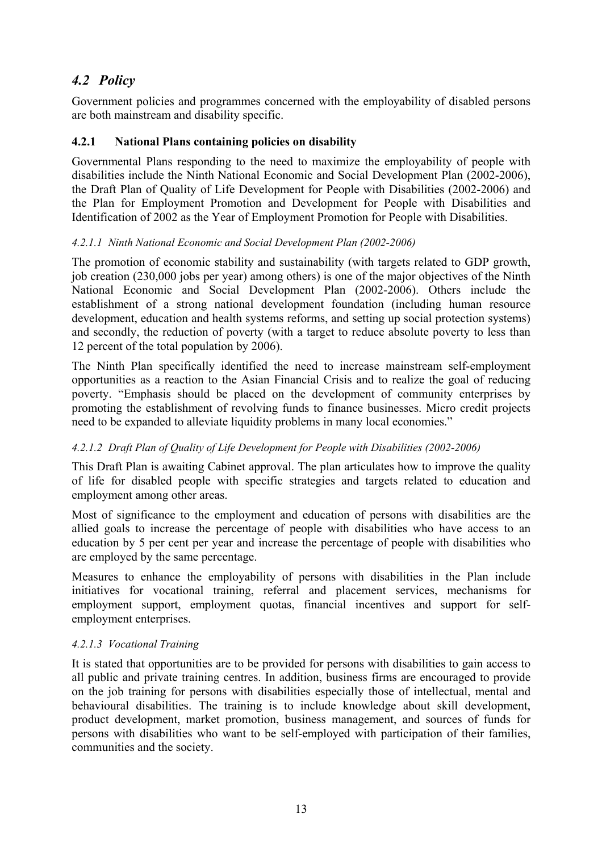### <span id="page-16-0"></span>*4.2 Policy*

Government policies and programmes concerned with the employability of disabled persons are both mainstream and disability specific.

#### <span id="page-16-1"></span>**4.2.1 National Plans containing policies on disability**

Governmental Plans responding to the need to maximize the employability of people with disabilities include the Ninth National Economic and Social Development Plan (2002-2006), the Draft Plan of Quality of Life Development for People with Disabilities (2002-2006) and the Plan for Employment Promotion and Development for People with Disabilities and Identification of 2002 as the Year of Employment Promotion for People with Disabilities.

#### *4.2.1.1 Ninth National Economic and Social Development Plan (2002-2006)*

The promotion of economic stability and sustainability (with targets related to GDP growth, job creation (230,000 jobs per year) among others) is one of the major objectives of the Ninth National Economic and Social Development Plan (2002-2006). Others include the establishment of a strong national development foundation (including human resource development, education and health systems reforms, and setting up social protection systems) and secondly, the reduction of poverty (with a target to reduce absolute poverty to less than 12 percent of the total population by 2006).

The Ninth Plan specifically identified the need to increase mainstream self-employment opportunities as a reaction to the Asian Financial Crisis and to realize the goal of reducing poverty. "Emphasis should be placed on the development of community enterprises by promoting the establishment of revolving funds to finance businesses. Micro credit projects need to be expanded to alleviate liquidity problems in many local economies."

#### *4.2.1.2 Draft Plan of Quality of Life Development for People with Disabilities (2002-2006)*

This Draft Plan is awaiting Cabinet approval. The plan articulates how to improve the quality of life for disabled people with specific strategies and targets related to education and employment among other areas.

Most of significance to the employment and education of persons with disabilities are the allied goals to increase the percentage of people with disabilities who have access to an education by 5 per cent per year and increase the percentage of people with disabilities who are employed by the same percentage.

Measures to enhance the employability of persons with disabilities in the Plan include initiatives for vocational training, referral and placement services, mechanisms for employment support, employment quotas, financial incentives and support for selfemployment enterprises.

#### *4.2.1.3 Vocational Training*

It is stated that opportunities are to be provided for persons with disabilities to gain access to all public and private training centres. In addition, business firms are encouraged to provide on the job training for persons with disabilities especially those of intellectual, mental and behavioural disabilities. The training is to include knowledge about skill development, product development, market promotion, business management, and sources of funds for persons with disabilities who want to be self-employed with participation of their families, communities and the society.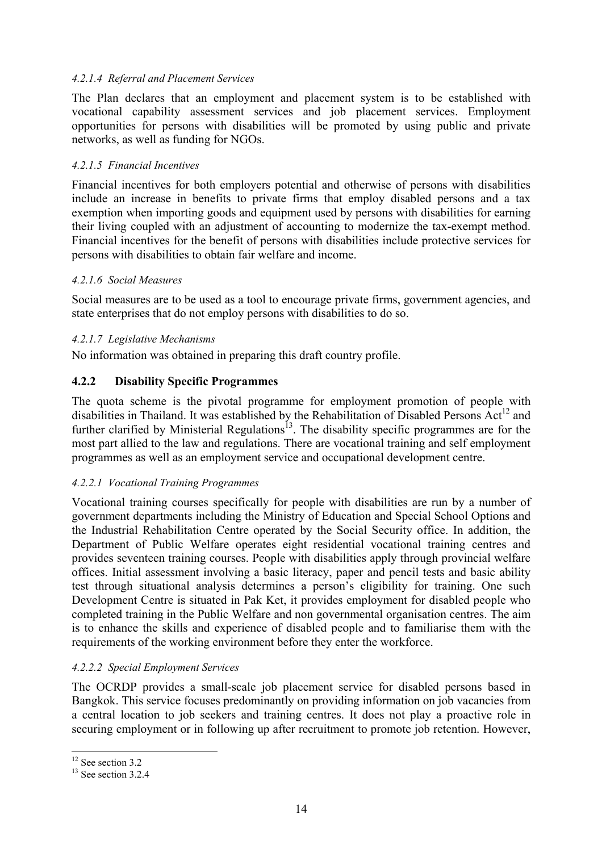#### *4.2.1.4 Referral and Placement Services*

The Plan declares that an employment and placement system is to be established with vocational capability assessment services and job placement services. Employment opportunities for persons with disabilities will be promoted by using public and private networks, as well as funding for NGOs.

#### *4.2.1.5 Financial Incentives*

Financial incentives for both employers potential and otherwise of persons with disabilities include an increase in benefits to private firms that employ disabled persons and a tax exemption when importing goods and equipment used by persons with disabilities for earning their living coupled with an adjustment of accounting to modernize the tax-exempt method. Financial incentives for the benefit of persons with disabilities include protective services for persons with disabilities to obtain fair welfare and income.

#### *4.2.1.6 Social Measures*

Social measures are to be used as a tool to encourage private firms, government agencies, and state enterprises that do not employ persons with disabilities to do so.

#### *4.2.1.7 Legislative Mechanisms*

No information was obtained in preparing this draft country profile.

#### <span id="page-17-0"></span>**4.2.2 Disability Specific Programmes**

The quota scheme is the pivotal programme for employment promotion of people with disabilities in Thailand. It was established by the Rehabilitation of Disabled Persons Act<sup>12</sup> and further clarified by Ministerial Regulations<sup> $13$ </sup>. The disability specific programmes are for the most part allied to the law and regulations. There are vocational training and self employment programmes as well as an employment service and occupational development centre.

#### *4.2.2.1 Vocational Training Programmes*

Vocational training courses specifically for people with disabilities are run by a number of government departments including the Ministry of Education and Special School Options and the Industrial Rehabilitation Centre operated by the Social Security office. In addition, the Department of Public Welfare operates eight residential vocational training centres and provides seventeen training courses. People with disabilities apply through provincial welfare offices. Initial assessment involving a basic literacy, paper and pencil tests and basic ability test through situational analysis determines a person's eligibility for training. One such Development Centre is situated in Pak Ket, it provides employment for disabled people who completed training in the Public Welfare and non governmental organisation centres. The aim is to enhance the skills and experience of disabled people and to familiarise them with the requirements of the working environment before they enter the workforce.

#### *4.2.2.2 Special Employment Services*

The OCRDP provides a small-scale job placement service for disabled persons based in Bangkok. This service focuses predominantly on providing information on job vacancies from a central location to job seekers and training centres. It does not play a proactive role in securing employment or in following up after recruitment to promote job retention. However,

<span id="page-17-1"></span><sup>&</sup>lt;sup>12</sup> See section 3.2

<span id="page-17-2"></span> $13$  See section 3.2.4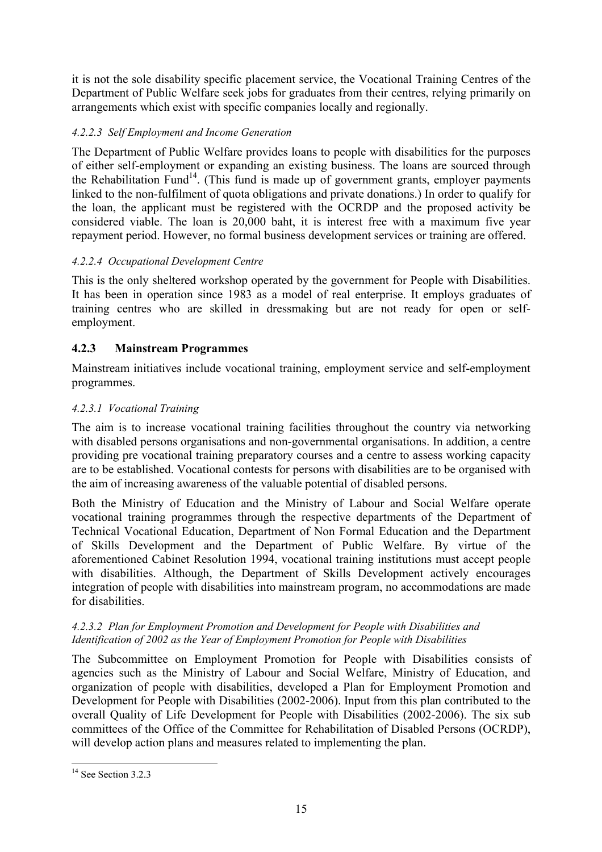it is not the sole disability specific placement service, the Vocational Training Centres of the Department of Public Welfare seek jobs for graduates from their centres, relying primarily on arrangements which exist with specific companies locally and regionally.

#### *4.2.2.3 Self Employment and Income Generation*

The Department of Public Welfare provides loans to people with disabilities for the purposes of either self-employment or expanding an existing business. The loans are sourced through the Rehabilitation Fund<sup>14</sup>. (This fund is made up of government grants, employer payments linked to the non-fulfilment of quota obligations and private donations.) In order to qualify for the loan, the applicant must be registered with the OCRDP and the proposed activity be considered viable. The loan is 20,000 baht, it is interest free with a maximum five year repayment period. However, no formal business development services or training are offered.

#### *4.2.2.4 Occupational Development Centre*

This is the only sheltered workshop operated by the government for People with Disabilities. It has been in operation since 1983 as a model of real enterprise. It employs graduates of training centres who are skilled in dressmaking but are not ready for open or selfemployment.

### <span id="page-18-0"></span>**4.2.3 Mainstream Programmes**

Mainstream initiatives include vocational training, employment service and self-employment programmes.

#### *4.2.3.1 Vocational Training*

The aim is to increase vocational training facilities throughout the country via networking with disabled persons organisations and non-governmental organisations. In addition, a centre providing pre vocational training preparatory courses and a centre to assess working capacity are to be established. Vocational contests for persons with disabilities are to be organised with the aim of increasing awareness of the valuable potential of disabled persons.

Both the Ministry of Education and the Ministry of Labour and Social Welfare operate vocational training programmes through the respective departments of the Department of Technical Vocational Education, Department of Non Formal Education and the Department of Skills Development and the Department of Public Welfare. By virtue of the aforementioned Cabinet Resolution 1994, vocational training institutions must accept people with disabilities. Although, the Department of Skills Development actively encourages integration of people with disabilities into mainstream program, no accommodations are made for disabilities.

#### *4.2.3.2 Plan for Employment Promotion and Development for People with Disabilities and Identification of 2002 as the Year of Employment Promotion for People with Disabilities*

The Subcommittee on Employment Promotion for People with Disabilities consists of agencies such as the Ministry of Labour and Social Welfare, Ministry of Education, and organization of people with disabilities, developed a Plan for Employment Promotion and Development for People with Disabilities (2002-2006). Input from this plan contributed to the overall Quality of Life Development for People with Disabilities (2002-2006). The six sub committees of the Office of the Committee for Rehabilitation of Disabled Persons (OCRDP), will develop action plans and measures related to implementing the plan.

<span id="page-18-1"></span> $\overline{a}$ <sup>14</sup> See Section 3.2.3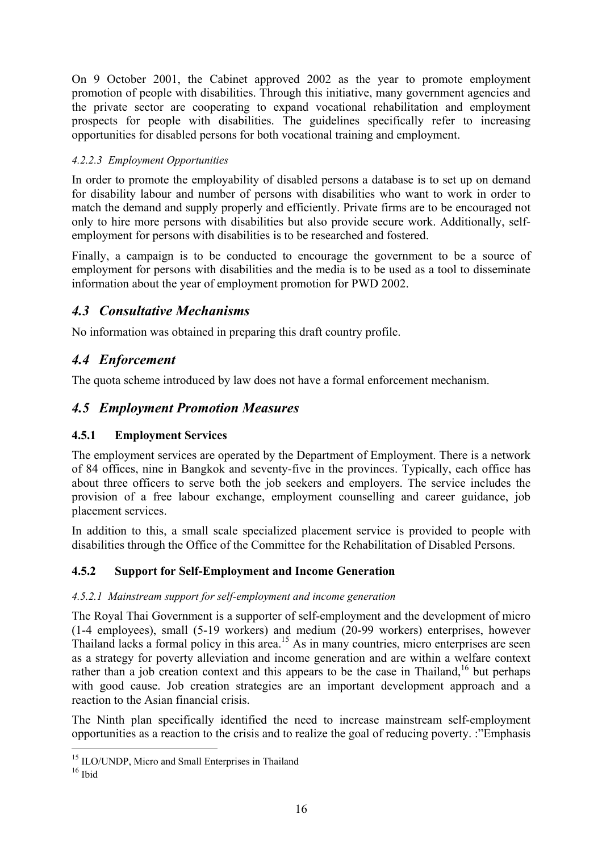On 9 October 2001, the Cabinet approved 2002 as the year to promote employment promotion of people with disabilities. Through this initiative, many government agencies and the private sector are cooperating to expand vocational rehabilitation and employment prospects for people with disabilities. The guidelines specifically refer to increasing opportunities for disabled persons for both vocational training and employment.

#### *4.2.2.3 Employment Opportunities*

In order to promote the employability of disabled persons a database is to set up on demand for disability labour and number of persons with disabilities who want to work in order to match the demand and supply properly and efficiently. Private firms are to be encouraged not only to hire more persons with disabilities but also provide secure work. Additionally, selfemployment for persons with disabilities is to be researched and fostered.

Finally, a campaign is to be conducted to encourage the government to be a source of employment for persons with disabilities and the media is to be used as a tool to disseminate information about the year of employment promotion for PWD 2002.

### <span id="page-19-0"></span>*4.3 Consultative Mechanisms*

No information was obtained in preparing this draft country profile.

### <span id="page-19-1"></span>*4.4 Enforcement*

The quota scheme introduced by law does not have a formal enforcement mechanism.

### <span id="page-19-2"></span>*4.5 Employment Promotion Measures*

### <span id="page-19-3"></span>**4.5.1 Employment Services**

The employment services are operated by the Department of Employment. There is a network of 84 offices, nine in Bangkok and seventy-five in the provinces. Typically, each office has about three officers to serve both the job seekers and employers. The service includes the provision of a free labour exchange, employment counselling and career guidance, job placement services.

In addition to this, a small scale specialized placement service is provided to people with disabilities through the Office of the Committee for the Rehabilitation of Disabled Persons.

### <span id="page-19-4"></span>**4.5.2 Support for Self-Employment and Income Generation**

#### *4.5.2.1 Mainstream support for self-employment and income generation*

The Royal Thai Government is a supporter of self-employment and the development of micro (1-4 employees), small (5-19 workers) and medium (20-99 workers) enterprises, however Thailand lacks a formal policy in this area.<sup>15</sup> As in many countries, micro enterprises are seen as a strategy for poverty alleviation and income generation and are within a welfare context rather than a job creation context and this appears to be the case in Thailand,<sup>16</sup> but perhaps with good cause. Job creation strategies are an important development approach and a reaction to the Asian financial crisis.

The Ninth plan specifically identified the need to increase mainstream self-employment opportunities as a reaction to the crisis and to realize the goal of reducing poverty. :"Emphasis

<span id="page-19-5"></span><sup>&</sup>lt;sup>15</sup> ILO/UNDP, Micro and Small Enterprises in Thailand

<span id="page-19-6"></span> $16$  Ibid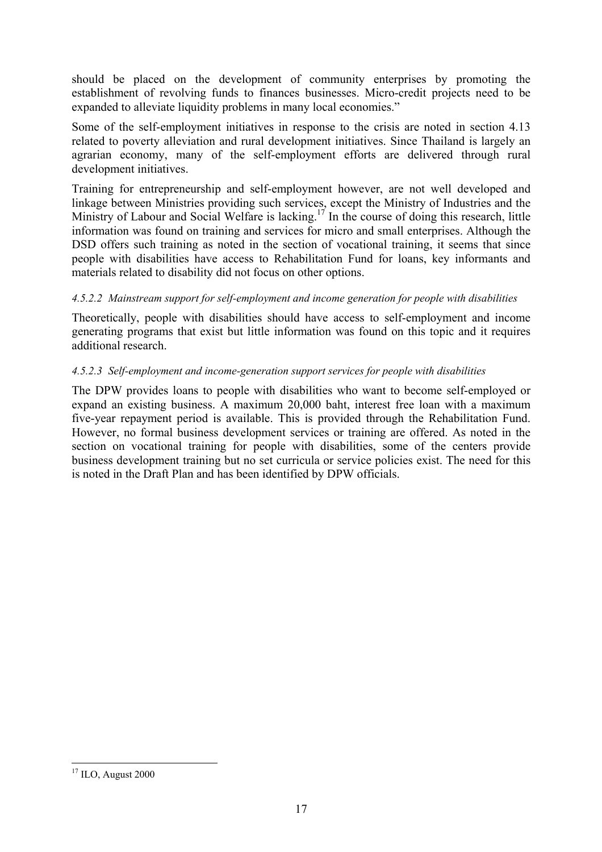should be placed on the development of community enterprises by promoting the establishment of revolving funds to finances businesses. Micro-credit projects need to be expanded to alleviate liquidity problems in many local economies."

Some of the self-employment initiatives in response to the crisis are noted in section 4.13 related to poverty alleviation and rural development initiatives. Since Thailand is largely an agrarian economy, many of the self-employment efforts are delivered through rural development initiatives.

Training for entrepreneurship and self-employment however, are not well developed and linkage between Ministries providing such services, except the Ministry of Industries and the Ministry of Labour and Social Welfare is lacking.<sup>17</sup> In the course of doing this research, little information was found on training and services for micro and small enterprises. Although the DSD offers such training as noted in the section of vocational training, it seems that since people with disabilities have access to Rehabilitation Fund for loans, key informants and materials related to disability did not focus on other options.

#### *4.5.2.2 Mainstream support for self-employment and income generation for people with disabilities*

Theoretically, people with disabilities should have access to self-employment and income generating programs that exist but little information was found on this topic and it requires additional research.

#### *4.5.2.3 Self-employment and income-generation support services for people with disabilities*

The DPW provides loans to people with disabilities who want to become self-employed or expand an existing business. A maximum 20,000 baht, interest free loan with a maximum five-year repayment period is available. This is provided through the Rehabilitation Fund. However, no formal business development services or training are offered. As noted in the section on vocational training for people with disabilities, some of the centers provide business development training but no set curricula or service policies exist. The need for this is noted in the Draft Plan and has been identified by DPW officials.

<span id="page-20-0"></span> $\overline{a}$  $17$  ILO, August 2000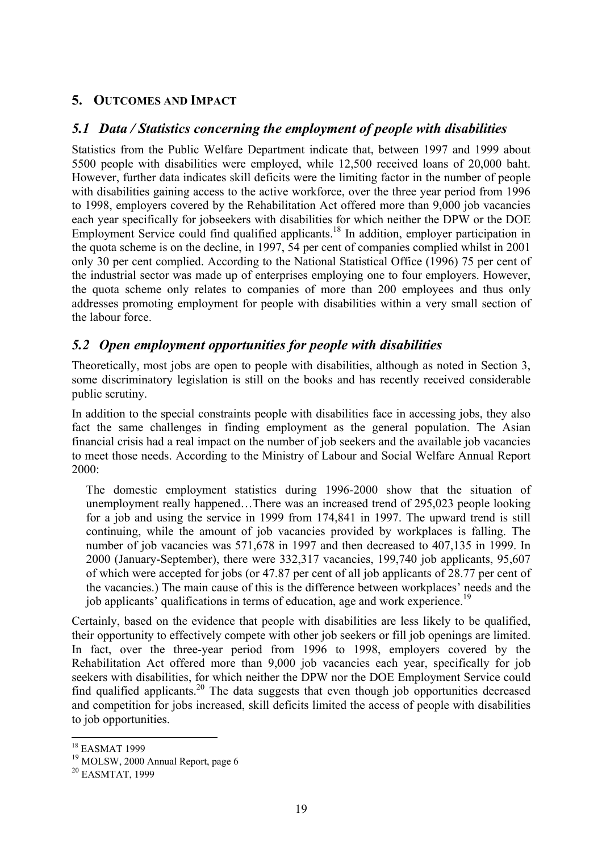### <span id="page-22-0"></span>**5. OUTCOMES AND IMPACT**

### *5.1 Data / Statistics concerning the employment of people with disabilities*

<span id="page-22-1"></span>Statistics from the Public Welfare Department indicate that, between 1997 and 1999 about 5500 people with disabilities were employed, while 12,500 received loans of 20,000 baht. However, further data indicates skill deficits were the limiting factor in the number of people with disabilities gaining access to the active workforce, over the three year period from 1996 to 1998, employers covered by the Rehabilitation Act offered more than 9,000 job vacancies each year specifically for jobseekers with disabilities for which neither the DPW or the DOE Employment Service could find qualified applicants.<sup>18</sup> In addition, employer participation in the quota scheme is on the decline, in 1997, 54 per cent of companies complied whilst in 2001 only 30 per cent complied. According to the National Statistical Office (1996) 75 per cent of the industrial sector was made up of enterprises employing one to four employers. However, the quota scheme only relates to companies of more than 200 employees and thus only addresses promoting employment for people with disabilities within a very small section of the labour force.

### <span id="page-22-2"></span>*5.2 Open employment opportunities for people with disabilities*

Theoretically, most jobs are open to people with disabilities, although as noted in Section 3, some discriminatory legislation is still on the books and has recently received considerable public scrutiny.

In addition to the special constraints people with disabilities face in accessing jobs, they also fact the same challenges in finding employment as the general population. The Asian financial crisis had a real impact on the number of job seekers and the available job vacancies to meet those needs. According to the Ministry of Labour and Social Welfare Annual Report 2000:

The domestic employment statistics during 1996-2000 show that the situation of unemployment really happened…There was an increased trend of 295,023 people looking for a job and using the service in 1999 from 174,841 in 1997. The upward trend is still continuing, while the amount of job vacancies provided by workplaces is falling. The number of job vacancies was 571,678 in 1997 and then decreased to 407,135 in 1999. In 2000 (January-September), there were 332,317 vacancies, 199,740 job applicants, 95,607 of which were accepted for jobs (or 47.87 per cent of all job applicants of 28.77 per cent of the vacancies.) The main cause of this is the difference between workplaces' needs and the job applicants' qualifications in terms of education, age and work experience.<sup>19</sup>

Certainly, based on the evidence that people with disabilities are less likely to be qualified, their opportunity to effectively compete with other job seekers or fill job openings are limited. In fact, over the three-year period from 1996 to 1998, employers covered by the Rehabilitation Act offered more than 9,000 job vacancies each year, specifically for job seekers with disabilities, for which neither the DPW nor the DOE Employment Service could find qualified applicants.<sup>20</sup> The data suggests that even though job opportunities decreased and competition for jobs increased, skill deficits limited the access of people with disabilities to job opportunities.

<span id="page-22-3"></span><sup>18</sup> EASMAT 1999

<span id="page-22-4"></span><sup>19</sup> MOLSW, 2000 Annual Report, page 6

<span id="page-22-5"></span><sup>20</sup> EASMTAT, 1999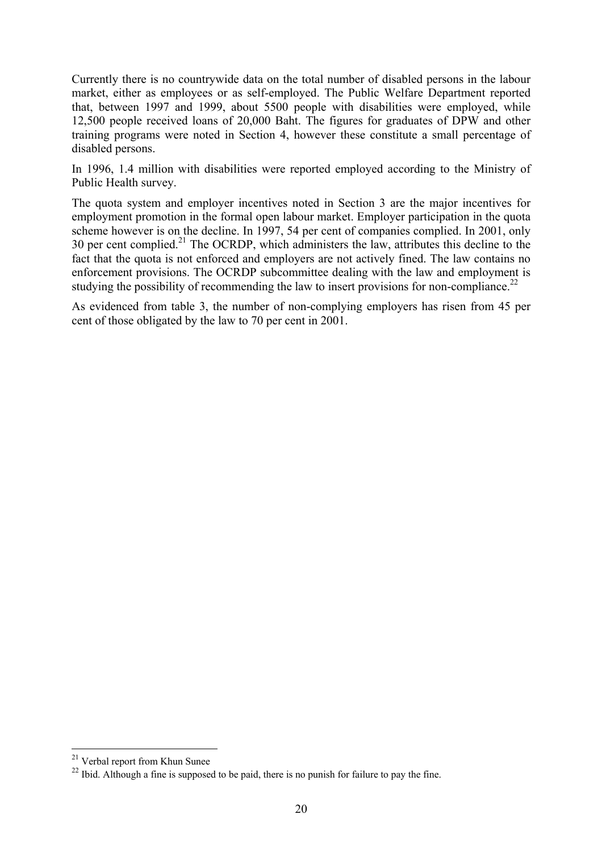Currently there is no countrywide data on the total number of disabled persons in the labour market, either as employees or as self-employed. The Public Welfare Department reported that, between 1997 and 1999, about 5500 people with disabilities were employed, while 12,500 people received loans of 20,000 Baht. The figures for graduates of DPW and other training programs were noted in Section 4, however these constitute a small percentage of disabled persons.

In 1996, 1.4 million with disabilities were reported employed according to the Ministry of Public Health survey.

The quota system and employer incentives noted in Section 3 are the major incentives for employment promotion in the formal open labour market. Employer participation in the quota scheme however is on the decline. In 1997, 54 per cent of companies complied. In 2001, only 30 per cent complied.<sup>21</sup> The OCRDP, which administers the law, attributes this decline to the fact that the quota is not enforced and employers are not actively fined. The law contains no enforcement provisions. The OCRDP subcommittee dealing with the law and employment is studying the possibility of recommending the law to insert provisions for non-compliance.<sup>22</sup>

As evidenced from table 3, the number of non-complying employers has risen from 45 per cent of those obligated by the law to 70 per cent in 2001.

<span id="page-23-0"></span><sup>&</sup>lt;sup>21</sup> Verbal report from Khun Sunee

<span id="page-23-1"></span><sup>&</sup>lt;sup>22</sup> Ibid. Although a fine is supposed to be paid, there is no punish for failure to pay the fine.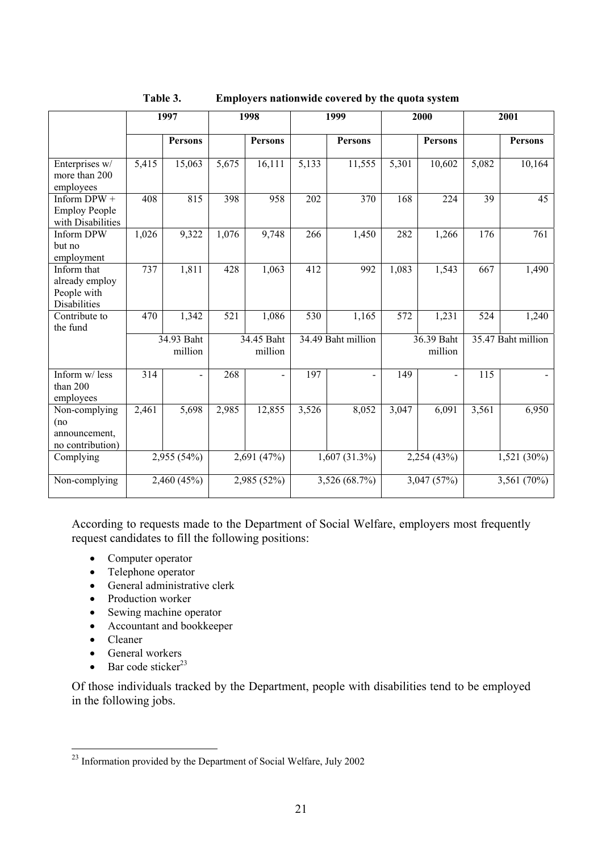|                                                                     |       | 1997                  |       | 1998                  |       | 1999               |       | 2000                  |       | 2001               |
|---------------------------------------------------------------------|-------|-----------------------|-------|-----------------------|-------|--------------------|-------|-----------------------|-------|--------------------|
|                                                                     |       | <b>Persons</b>        |       | <b>Persons</b>        |       | <b>Persons</b>     |       | <b>Persons</b>        |       | <b>Persons</b>     |
| Enterprises w/<br>more than 200<br>employees                        | 5,415 | 15,063                | 5,675 | 16,111                | 5,133 | 11,555             | 5,301 | 10,602                | 5,082 | 10,164             |
| Inform DPW +<br><b>Employ People</b><br>with Disabilities           | 408   | 815                   | 398   | 958                   | 202   | 370                | 168   | 224                   | 39    | 45                 |
| <b>Inform DPW</b><br>but no<br>employment                           | 1,026 | 9,322                 | 1,076 | 9,748                 | 266   | 1,450              | 282   | 1,266                 | 176   | 761                |
| Inform that<br>already employ<br>People with<br><b>Disabilities</b> | 737   | 1,811                 | 428   | 1,063                 | 412   | 992                | 1,083 | 1,543                 | 667   | 1,490              |
| Contribute to<br>the fund                                           | 470   | 1,342                 | 521   | 1,086                 | 530   | 1,165              | 572   | 1,231                 | 524   | 1,240              |
|                                                                     |       | 34.93 Baht<br>million |       | 34.45 Baht<br>million |       | 34.49 Baht million |       | 36.39 Baht<br>million |       | 35.47 Baht million |
| Inform w/less<br>than 200<br>employees                              | 314   | $\blacksquare$        | 268   | $\blacksquare$        | 197   |                    | 149   | $\blacksquare$        | 115   |                    |
| Non-complying<br>(no<br>announcement,<br>no contribution)           | 2,461 | 5,698                 | 2,985 | 12,855                | 3,526 | 8,052              | 3,047 | 6,091                 | 3,561 | 6,950              |
| Complying                                                           |       | 2,955 (54%)           |       | 2,691 (47%)           |       | $1,607(31.3\%)$    |       | 2,254(43%)            |       | 1,521 (30%)        |
| Non-complying                                                       |       | 2,460 (45%)           |       | 2,985 (52%)           |       | 3,526 (68.7%)      |       | 3,047 (57%)           |       | 3,561 (70%)        |

<span id="page-24-0"></span>**Table 3. Employers nationwide covered by the quota system** 

According to requests made to the Department of Social Welfare, employers most frequently request candidates to fill the following positions:

- Computer operator
- Telephone operator
- General administrative clerk
- Production worker
- Sewing machine operator
- Accountant and bookkeeper
- Cleaner

 $\overline{a}$ 

- General workers
- Bar code sticker $^{23}$

Of those individuals tracked by the Department, people with disabilities tend to be employed in the following jobs.

<span id="page-24-1"></span> $2<sup>23</sup>$  Information provided by the Department of Social Welfare, July 2002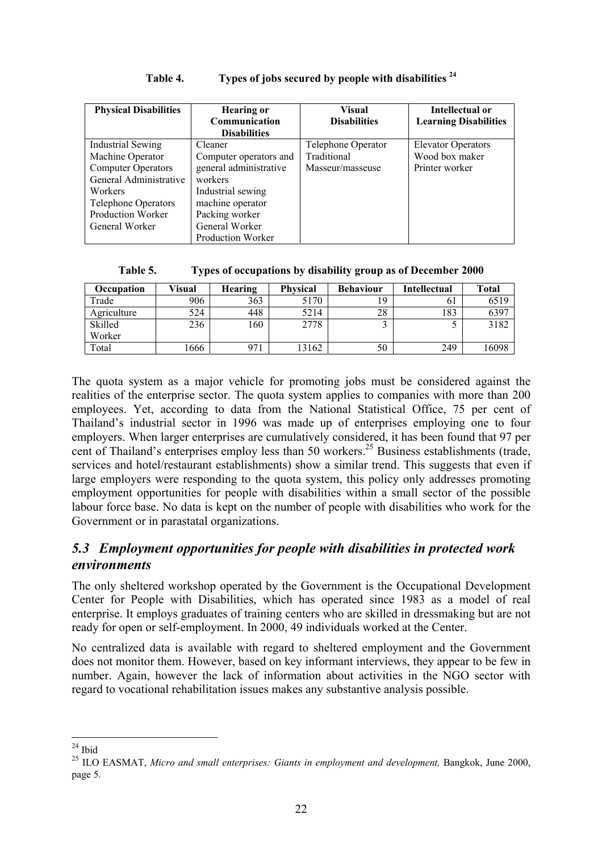| <b>Physical Disabilities</b> | <b>Hearing or</b>        | <b>Visual</b>       | Intellectual or              |
|------------------------------|--------------------------|---------------------|------------------------------|
|                              | Communication            | <b>Disabilities</b> | <b>Learning Disabilities</b> |
|                              | <b>Disabilities</b>      |                     |                              |
| <b>Industrial Sewing</b>     | Cleaner                  | Telephone Operator  | <b>Elevator Operators</b>    |
| Machine Operator             | Computer operators and   | Traditional         | Wood box maker               |
| <b>Computer Operators</b>    | general administrative   | Masseur/masseuse    | Printer worker               |
| General Administrative       | workers                  |                     |                              |
| Workers                      | Industrial sewing        |                     |                              |
| <b>Telephone Operators</b>   | machine operator         |                     |                              |
| Production Worker            | Packing worker           |                     |                              |
| General Worker               | General Worker           |                     |                              |
|                              | <b>Production Worker</b> |                     |                              |

#### <span id="page-25-1"></span>**Table 4. Types of jobs secured by people with disabilities [24](#page-25-3)**

<span id="page-25-2"></span>

| Table 5. |  |  | Types of occupations by disability group as of December 2000 |
|----------|--|--|--------------------------------------------------------------|
|          |  |  |                                                              |

| Occupation  | Visual | Hearing | <b>Physical</b> | <b>Behaviour</b> | <b>Intellectual</b> | <b>Total</b> |
|-------------|--------|---------|-----------------|------------------|---------------------|--------------|
| Trade       | 906    | 363     | 5170            | 19               | 61                  | 6519         |
| Agriculture | 524    | 448     | 5214            | 28               | 183                 | 6397         |
| Skilled     | 236    | 160     | 2778            |                  |                     | 3182         |
| Worker      |        |         |                 |                  |                     |              |
| Total       | 1666   | 971     | 13162           | 50               | 249                 | 16098        |

The quota system as a major vehicle for promoting jobs must be considered against the realities of the enterprise sector. The quota system applies to companies with more than 200 employees. Yet, according to data from the National Statistical Office, 75 per cent of Thailand's industrial sector in 1996 was made up of enterprises employing one to four employers. When larger enterprises are cumulatively considered, it has been found that 97 per cent of Thailand's enterprises employ less than 50 workers.<sup>25</sup> Business establishments (trade, services and hotel/restaurant establishments) show a similar trend. This suggests that even if large employers were responding to the quota system, this policy only addresses promoting employment opportunities for people with disabilities within a small sector of the possible labour force base. No data is kept on the number of people with disabilities who work for the Government or in parastatal organizations.

### <span id="page-25-0"></span>*5.3 Employment opportunities for people with disabilities in protected work environments*

The only sheltered workshop operated by the Government is the Occupational Development Center for People with Disabilities, which has operated since 1983 as a model of real enterprise. It employs graduates of training centers who are skilled in dressmaking but are not ready for open or self-employment. In 2000, 49 individuals worked at the Center.

No centralized data is available with regard to sheltered employment and the Government does not monitor them. However, based on key informant interviews, they appear to be few in number. Again, however the lack of information about activities in the NGO sector with regard to vocational rehabilitation issues makes any substantive analysis possible.

<span id="page-25-3"></span> $\overline{a}$  $24$  Ibid

<span id="page-25-4"></span><sup>&</sup>lt;sup>25</sup> ILO EASMAT, *Micro and small enterprises: Giants in employment and development*, Bangkok, June 2000, page 5.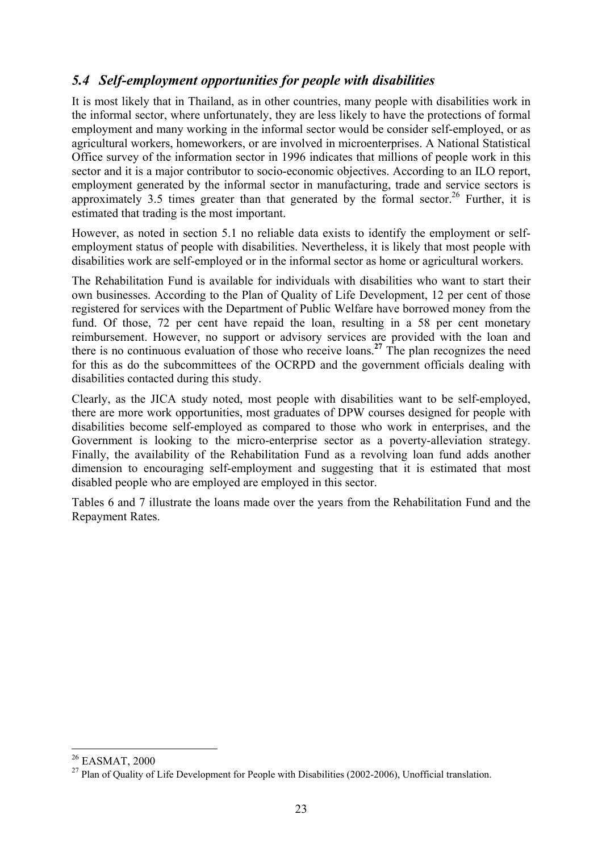### <span id="page-26-0"></span>*5.4 Self-employment opportunities for people with disabilities*

It is most likely that in Thailand, as in other countries, many people with disabilities work in the informal sector, where unfortunately, they are less likely to have the protections of formal employment and many working in the informal sector would be consider self-employed, or as agricultural workers, homeworkers, or are involved in microenterprises. A National Statistical Office survey of the information sector in 1996 indicates that millions of people work in this sector and it is a major contributor to socio-economic objectives. According to an ILO report, employment generated by the informal sector in manufacturing, trade and service sectors is approximately 3.5 times greater than that generated by the formal sector.<sup>26</sup> Further, it is estimated that trading is the most important.

However, as noted in section 5.1 no reliable data exists to identify the employment or selfemployment status of people with disabilities. Nevertheless, it is likely that most people with disabilities work are self-employed or in the informal sector as home or agricultural workers.

The Rehabilitation Fund is available for individuals with disabilities who want to start their own businesses. According to the Plan of Quality of Life Development, 12 per cent of those registered for services with the Department of Public Welfare have borrowed money from the fund. Of those, 72 per cent have repaid the loan, resulting in a 58 per cent monetary reimbursement. However, no support or advisory services are provided with the loan and there is no continuous evaluation of those who receive loans.**[27](#page-26-2)** The plan recognizes the need for this as do the subcommittees of the OCRPD and the government officials dealing with disabilities contacted during this study.

Clearly, as the JICA study noted, most people with disabilities want to be self-employed, there are more work opportunities, most graduates of DPW courses designed for people with disabilities become self-employed as compared to those who work in enterprises, and the Government is looking to the micro-enterprise sector as a poverty-alleviation strategy. Finally, the availability of the Rehabilitation Fund as a revolving loan fund adds another dimension to encouraging self-employment and suggesting that it is estimated that most disabled people who are employed are employed in this sector.

Tables 6 and 7 illustrate the loans made over the years from the Rehabilitation Fund and the Repayment Rates.

<span id="page-26-1"></span><sup>26</sup> EASMAT, 2000

<span id="page-26-2"></span><sup>&</sup>lt;sup>27</sup> Plan of Quality of Life Development for People with Disabilities (2002-2006), Unofficial translation.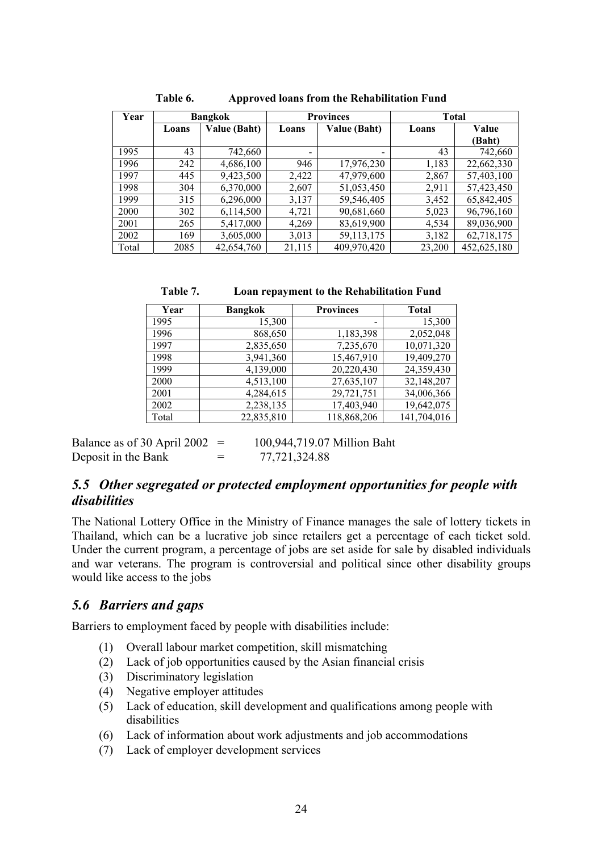| Year  |       | <b>Provinces</b><br><b>Bangkok</b> |                          | <b>Total</b>             |        |             |
|-------|-------|------------------------------------|--------------------------|--------------------------|--------|-------------|
|       | Loans | Value (Baht)                       | Loans                    | Value (Baht)             | Loans  | Value       |
|       |       |                                    |                          |                          |        | (Baht)      |
| 1995  | 43    | 742,660                            | $\overline{\phantom{0}}$ | $\overline{\phantom{0}}$ | 43     | 742,660     |
| 1996  | 242   | 4,686,100                          | 946                      | 17,976,230               | 1,183  | 22,662,330  |
| 1997  | 445   | 9,423,500                          | 2,422                    | 47,979,600               | 2,867  | 57,403,100  |
| 1998  | 304   | 6,370,000                          | 2,607                    | 51,053,450               | 2,911  | 57,423,450  |
| 1999  | 315   | 6,296,000                          | 3,137                    | 59,546,405               | 3,452  | 65,842,405  |
| 2000  | 302   | 6,114,500                          | 4,721                    | 90,681,660               | 5,023  | 96,796,160  |
| 2001  | 265   | 5,417,000                          | 4,269                    | 83,619,900               | 4,534  | 89,036,900  |
| 2002  | 169   | 3,605,000                          | 3,013                    | 59,113,175               | 3,182  | 62,718,175  |
| Total | 2085  | 42,654,760                         | 21,115                   | 409,970,420              | 23,200 | 452,625,180 |

<span id="page-27-2"></span>**Table 6. Approved loans from the Rehabilitation Fund** 

| Year  | <b>Bangkok</b> | <b>Provinces</b> | <b>Total</b> |
|-------|----------------|------------------|--------------|
| 1995  | 15,300         |                  | 15,300       |
| 1996  | 868,650        | 1,183,398        | 2,052,048    |
| 1997  | 2,835,650      | 7,235,670        | 10,071,320   |
| 1998  | 3,941,360      | 15,467,910       | 19,409,270   |
| 1999  | 4,139,000      | 20,220,430       | 24,359,430   |
| 2000  | 4,513,100      | 27,635,107       | 32,148,207   |
| 2001  | 4,284,615      | 29,721,751       | 34,006,366   |
| 2002  | 2,238,135      | 17,403,940       | 19,642,075   |
| Total | 22,835,810     | 118,868,206      | 141,704,016  |

<span id="page-27-3"></span>**Table 7. Loan repayment to the Rehabilitation Fund** 

Balance as of 30 April 2002 =  $100,944,719,07$  Million Baht Deposit in the Bank  $= 77,721,324.88$ 

### <span id="page-27-0"></span>*5.5 Other segregated or protected employment opportunities for people with disabilities*

The National Lottery Office in the Ministry of Finance manages the sale of lottery tickets in Thailand, which can be a lucrative job since retailers get a percentage of each ticket sold. Under the current program, a percentage of jobs are set aside for sale by disabled individuals and war veterans. The program is controversial and political since other disability groups would like access to the jobs

### <span id="page-27-1"></span>*5.6 Barriers and gaps*

Barriers to employment faced by people with disabilities include:

- (1) Overall labour market competition, skill mismatching
- (2) Lack of job opportunities caused by the Asian financial crisis
- (3) Discriminatory legislation
- (4) Negative employer attitudes
- (5) Lack of education, skill development and qualifications among people with disabilities
- (6) Lack of information about work adjustments and job accommodations
- (7) Lack of employer development services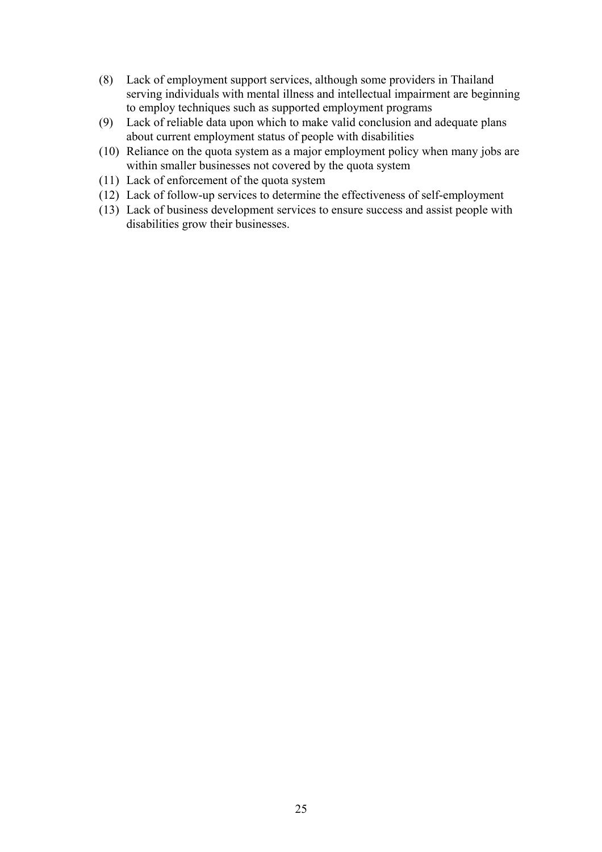- (8) Lack of employment support services, although some providers in Thailand serving individuals with mental illness and intellectual impairment are beginning to employ techniques such as supported employment programs
- (9) Lack of reliable data upon which to make valid conclusion and adequate plans about current employment status of people with disabilities
- (10) Reliance on the quota system as a major employment policy when many jobs are within smaller businesses not covered by the quota system
- (11) Lack of enforcement of the quota system
- (12) Lack of follow-up services to determine the effectiveness of self-employment
- (13) Lack of business development services to ensure success and assist people with disabilities grow their businesses.